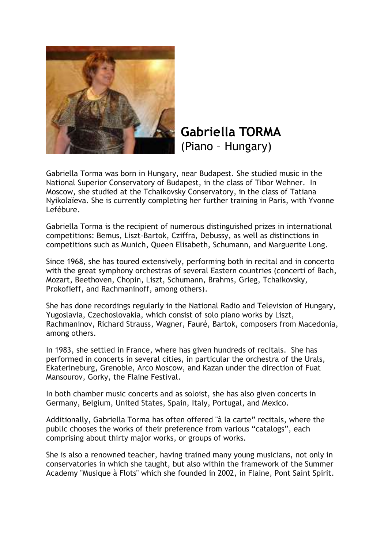

**Gabriella TORMA** (Piano – Hungary)

Gabriella Torma was born in Hungary, near Budapest. She studied music in the National Superior Conservatory of Budapest, in the class of Tibor Wehner. In Moscow, she studied at the Tchaikovsky Conservatory, in the class of Tatiana Nyikolaïeva. She is currently completing her further training in Paris, with Yvonne Lefébure.

Gabriella Torma is the recipient of numerous distinguished prizes in international competitions: Bemus, Liszt-Bartok, Cziffra, Debussy, as well as distinctions in competitions such as Munich, Queen Elisabeth, Schumann, and Marguerite Long.

Since 1968, she has toured extensively, performing both in recital and in concerto with the great symphony orchestras of several Eastern countries (concerti of Bach, Mozart, Beethoven, Chopin, Liszt, Schumann, Brahms, Grieg, Tchaikovsky, Prokofieff, and Rachmaninoff, among others).

She has done recordings regularly in the National Radio and Television of Hungary, Yugoslavia, Czechoslovakia, which consist of solo piano works by Liszt, Rachmaninov, Richard Strauss, Wagner, Fauré, Bartok, composers from Macedonia, among others.

In 1983, she settled in France, where has given hundreds of recitals. She has performed in concerts in several cities, in particular the orchestra of the Urals, Ekaterineburg, Grenoble, Arco Moscow, and Kazan under the direction of Fuat Mansourov, Gorky, the Flaine Festival.

In both chamber music concerts and as soloist, she has also given concerts in Germany, Belgium, United States, Spain, Italy, Portugal, and Mexico.

Additionally, Gabriella Torma has often offered "à la carte" recitals, where the public chooses the works of their preference from various "catalogs", each comprising about thirty major works, or groups of works.

She is also a renowned teacher, having trained many young musicians, not only in conservatories in which she taught, but also within the framework of the Summer Academy "Musique à Flots" which she founded in 2002, in Flaine, Pont Saint Spirit.